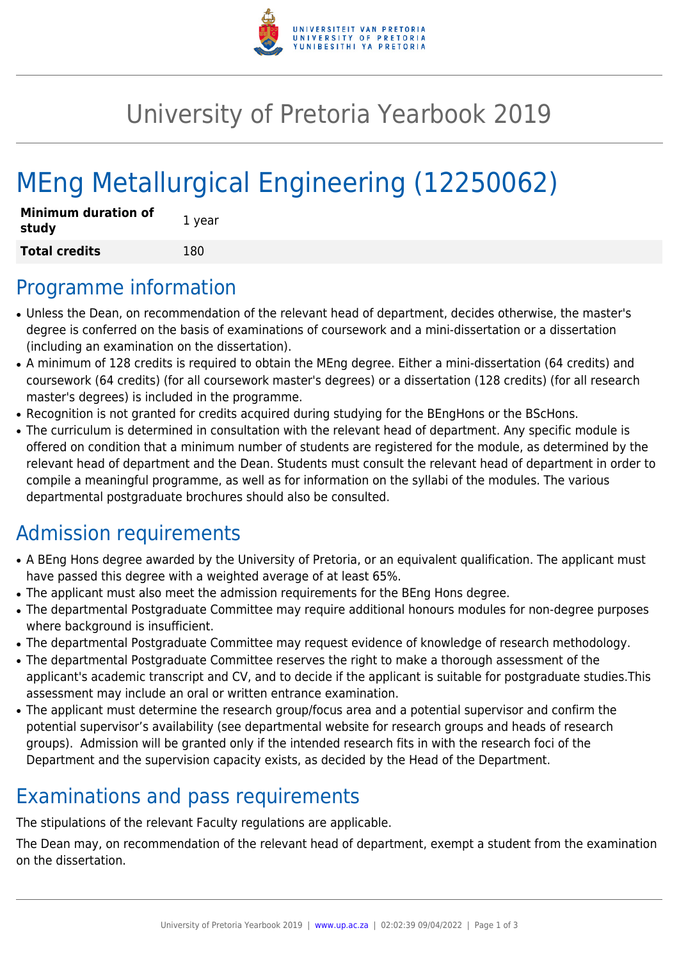

## University of Pretoria Yearbook 2019

# MEng Metallurgical Engineering (12250062)

| <b>Minimum duration of</b><br>study | 1 year |
|-------------------------------------|--------|
| <b>Total credits</b>                | 180    |

#### Programme information

- Unless the Dean, on recommendation of the relevant head of department, decides otherwise, the master's degree is conferred on the basis of examinations of coursework and a mini-dissertation or a dissertation (including an examination on the dissertation).
- A minimum of 128 credits is required to obtain the MEng degree. Either a mini-dissertation (64 credits) and coursework (64 credits) (for all coursework master's degrees) or a dissertation (128 credits) (for all research master's degrees) is included in the programme.
- Recognition is not granted for credits acquired during studying for the BEngHons or the BScHons.
- The curriculum is determined in consultation with the relevant head of department. Any specific module is offered on condition that a minimum number of students are registered for the module, as determined by the relevant head of department and the Dean. Students must consult the relevant head of department in order to compile a meaningful programme, as well as for information on the syllabi of the modules. The various departmental postgraduate brochures should also be consulted.

## Admission requirements

- A BEng Hons degree awarded by the University of Pretoria, or an equivalent qualification. The applicant must have passed this degree with a weighted average of at least 65%.
- The applicant must also meet the admission requirements for the BEng Hons degree.
- The departmental Postgraduate Committee may require additional honours modules for non-degree purposes where background is insufficient.
- The departmental Postgraduate Committee may request evidence of knowledge of research methodology.
- The departmental Postgraduate Committee reserves the right to make a thorough assessment of the applicant's academic transcript and CV, and to decide if the applicant is suitable for postgraduate studies.This assessment may include an oral or written entrance examination.
- The applicant must determine the research group/focus area and a potential supervisor and confirm the potential supervisor's availability (see departmental website for research groups and heads of research groups). Admission will be granted only if the intended research fits in with the research foci of the Department and the supervision capacity exists, as decided by the Head of the Department.

## Examinations and pass requirements

The stipulations of the relevant Faculty regulations are applicable.

The Dean may, on recommendation of the relevant head of department, exempt a student from the examination on the dissertation.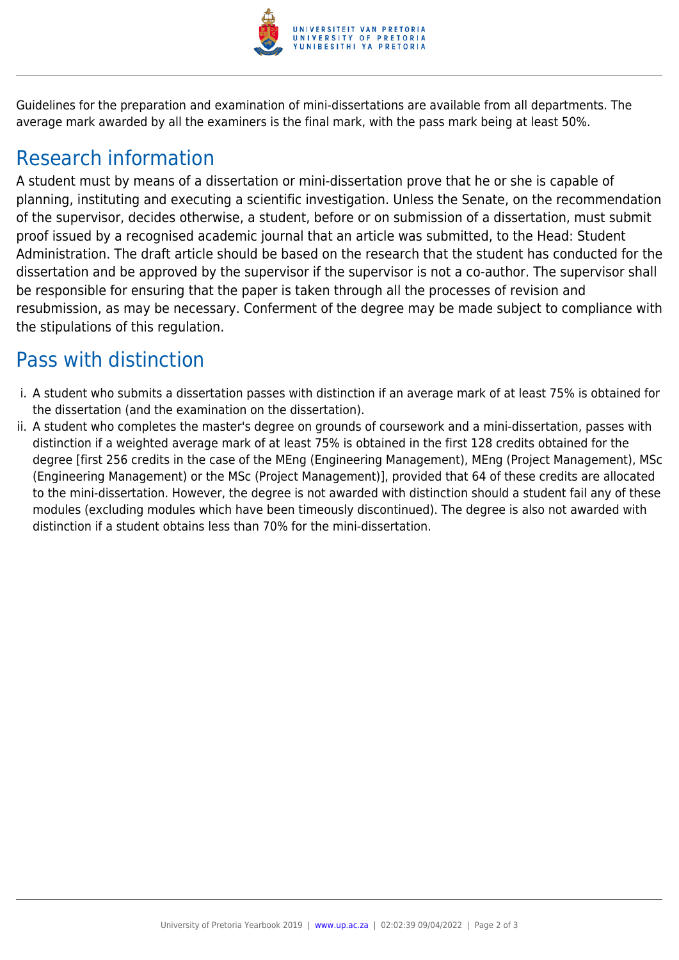

Guidelines for the preparation and examination of mini-dissertations are available from all departments. The average mark awarded by all the examiners is the final mark, with the pass mark being at least 50%.

#### Research information

A student must by means of a dissertation or mini-dissertation prove that he or she is capable of planning, instituting and executing a scientific investigation. Unless the Senate, on the recommendation of the supervisor, decides otherwise, a student, before or on submission of a dissertation, must submit proof issued by a recognised academic journal that an article was submitted, to the Head: Student Administration. The draft article should be based on the research that the student has conducted for the dissertation and be approved by the supervisor if the supervisor is not a co-author. The supervisor shall be responsible for ensuring that the paper is taken through all the processes of revision and resubmission, as may be necessary. Conferment of the degree may be made subject to compliance with the stipulations of this regulation.

#### Pass with distinction

- i. A student who submits a dissertation passes with distinction if an average mark of at least 75% is obtained for the dissertation (and the examination on the dissertation).
- ii. A student who completes the master's degree on grounds of coursework and a mini-dissertation, passes with distinction if a weighted average mark of at least 75% is obtained in the first 128 credits obtained for the degree [first 256 credits in the case of the MEng (Engineering Management), MEng (Project Management), MSc (Engineering Management) or the MSc (Project Management)], provided that 64 of these credits are allocated to the mini-dissertation. However, the degree is not awarded with distinction should a student fail any of these modules (excluding modules which have been timeously discontinued). The degree is also not awarded with distinction if a student obtains less than 70% for the mini-dissertation.